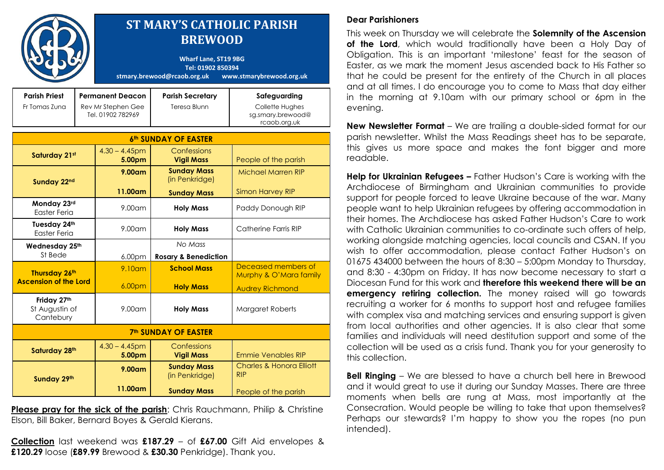|                                               |                                                                    | <b>ST MARY'S CATHOLIC PARISH</b><br><b>BREWOOD</b><br><b>Wharf Lane, ST19 9BG</b><br>Tel: 01902 850394<br>stmary.brewood@rcaob.org.uk<br>www.stmarybrewood.org.uk |                                         |                                                                      |  |
|-----------------------------------------------|--------------------------------------------------------------------|-------------------------------------------------------------------------------------------------------------------------------------------------------------------|-----------------------------------------|----------------------------------------------------------------------|--|
| <b>Parish Priest</b><br>Fr Tomas Zuna         | <b>Permanent Deacon</b><br>Rev Mr Stephen Gee<br>Tel. 01902 782969 |                                                                                                                                                                   | <b>Parish Secretary</b><br>Teresa Blunn | Safeguarding<br>Collette Hughes<br>sg.smary.brewood@<br>rcaob.org.uk |  |
| <b>6th SUNDAY OF EASTER</b>                   |                                                                    |                                                                                                                                                                   |                                         |                                                                      |  |
| Saturday 21st                                 |                                                                    | $4.30 - 4.45$ pm<br>5.00pm                                                                                                                                        | Confessions<br><b>Vigil Mass</b>        | People of the parish                                                 |  |
| Sunday 22nd                                   |                                                                    | $9.00$ am                                                                                                                                                         | <b>Sunday Mass</b><br>(in Penkridge)    | <b>Michael Marren RIP</b>                                            |  |
|                                               |                                                                    | 11.00am                                                                                                                                                           | <b>Sunday Mass</b>                      | <b>Simon Harvey RIP</b>                                              |  |
| Monday 23rd<br><b>Easter Feria</b>            |                                                                    | 9.00am                                                                                                                                                            | <b>Holy Mass</b>                        | Paddy Donough RIP                                                    |  |
| Tuesday 24th<br>Easter Feria                  |                                                                    | $9.00$ am                                                                                                                                                         | <b>Holy Mass</b>                        | Catherine Farris RIP                                                 |  |
| Wednesday 25th                                |                                                                    |                                                                                                                                                                   | No Mass                                 |                                                                      |  |
| St Bede                                       |                                                                    | 6.00pm                                                                                                                                                            | <b>Rosary &amp; Benediction</b>         |                                                                      |  |
| Thursday 26th<br><b>Ascension of the Lord</b> |                                                                    | $9.10$ am                                                                                                                                                         | <b>School Mass</b>                      | Deceased members of<br>Murphy & O'Mara family                        |  |
|                                               |                                                                    | 6.00pm                                                                                                                                                            | <b>Holy Mass</b>                        | <b>Audrey Richmond</b>                                               |  |
| Friday 27th<br>St Augustin of<br>Cantebury    |                                                                    | $9.00$ am                                                                                                                                                         | <b>Holy Mass</b>                        | Margaret Roberts                                                     |  |
| <b>7th SUNDAY OF EASTER</b>                   |                                                                    |                                                                                                                                                                   |                                         |                                                                      |  |
| Saturday 28th                                 |                                                                    | $4.30 - 4.45$ pm<br>5.00pm                                                                                                                                        | Confessions<br><b>Vigil Mass</b>        | <b>Emmie Venables RIP</b>                                            |  |
| Sunday 29th                                   |                                                                    | 9.00 <sub>cm</sub>                                                                                                                                                | <b>Sunday Mass</b><br>(in Penkridge)    | <b>Charles &amp; Honora Elliott</b><br><b>RIP</b>                    |  |
|                                               |                                                                    | 11.00am                                                                                                                                                           | <b>Sunday Mass</b>                      | People of the parish                                                 |  |

**Please pray for the sick of the parish**: Chris Rauchmann, Philip & Christine Elson, Bill Baker, Bernard Boyes & Gerald Kierans.

**Collection** last weekend was **£187.29** – of **£67.00** Gift Aid envelopes & **£120.29** loose (**£89.99** Brewood & **£30.30** Penkridge). Thank you.

## **Dear Parishioners**

This week on Thursday we will celebrate the **Solemnity of the Ascension of the Lord**, which would traditionally have been a Holy Day of Obligation. This is an important "milestone" feast for the season of Easter, as we mark the moment Jesus ascended back to His Father so that he could be present for the entirety of the Church in all places and at all times. I do encourage you to come to Mass that day either in the morning at 9.10am with our primary school or 6pm in the evening.

**New Newsletter Format** – We are trailing a double-sided format for our parish newsletter. Whilst the Mass Readings sheet has to be separate, this gives us more space and makes the font bigger and more readable.

**Help for Ukrainian Refugees –** Father Hudson's Care is working with the Archdiocese of Birmingham and Ukrainian communities to provide support for people forced to leave Ukraine because of the war. Many people want to help Ukrainian refugees by offering accommodation in their homes. The Archdiocese has asked Father Hudson"s Care to work with Catholic Ukrainian communities to co-ordinate such offers of help, working alongside matching agencies, local councils and CSAN. If you wish to offer accommodation, please contact Father Hudson's on 01675 434000 between the hours of 8:30 – 5:00pm Monday to Thursday, and 8:30 - 4:30pm on Friday. It has now become necessary to start a Diocesan Fund for this work and **therefore this weekend there will be an emergency retiring collection.** The money raised will go towards recruiting a worker for 6 months to support host and refugee families with complex visa and matching services and ensuring support is given from local authorities and other agencies. It is also clear that some families and individuals will need destitution support and some of the collection will be used as a crisis fund. Thank you for your generosity to this collection.

**Bell Ringing** – We are blessed to have a church bell here in Brewood and it would great to use it during our Sunday Masses. There are three moments when bells are rung at Mass, most importantly at the Consecration. Would people be willing to take that upon themselves? Perhaps our stewards? I"m happy to show you the ropes (no pun intended).